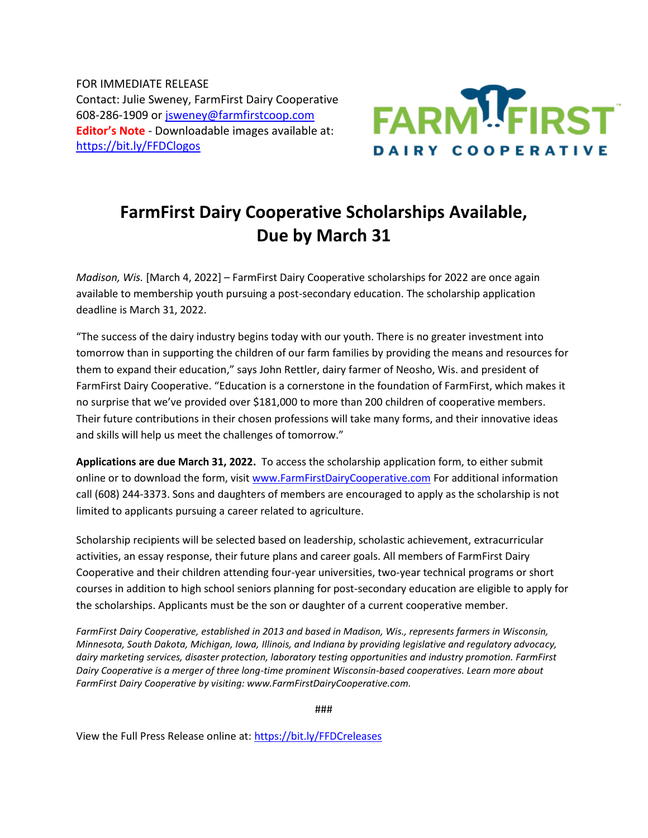FOR IMMEDIATE RELEASE Contact: Julie Sweney, FarmFirst Dairy Cooperative 608-286-1909 or [jsweney@farmfirstcoop.com](mailto:jsweney@farmfirstcoop.com) **Editor's Note** - Downloadable images available at: <https://bit.ly/FFDClogos>



## **FarmFirst Dairy Cooperative Scholarships Available, Due by March 31**

*Madison, Wis.* [March 4, 2022] – FarmFirst Dairy Cooperative scholarships for 2022 are once again available to membership youth pursuing a post-secondary education. The scholarship application deadline is March 31, 2022.

"The success of the dairy industry begins today with our youth. There is no greater investment into tomorrow than in supporting the children of our farm families by providing the means and resources for them to expand their education," says John Rettler, dairy farmer of Neosho, Wis. and president of FarmFirst Dairy Cooperative. "Education is a cornerstone in the foundation of FarmFirst, which makes it no surprise that we've provided over \$181,000 to more than 200 children of cooperative members. Their future contributions in their chosen professions will take many forms, and their innovative ideas and skills will help us meet the challenges of tomorrow."

**Applications are due March 31, 2022.** To access the scholarship application form, to either submit online or to download the form, visi[t www.FarmFirstDairyCooperative.com](http://www.farmfirstdairycooperative.com/) For additional information call (608) 244-3373. Sons and daughters of members are encouraged to apply as the scholarship is not limited to applicants pursuing a career related to agriculture.

Scholarship recipients will be selected based on leadership, scholastic achievement, extracurricular activities, an essay response, their future plans and career goals. All members of FarmFirst Dairy Cooperative and their children attending four-year universities, two-year technical programs or short courses in addition to high school seniors planning for post-secondary education are eligible to apply for the scholarships. Applicants must be the son or daughter of a current cooperative member.

*FarmFirst Dairy Cooperative, established in 2013 and based in Madison, Wis., represents farmers in Wisconsin, Minnesota, South Dakota, Michigan, Iowa, Illinois, and Indiana by providing legislative and regulatory advocacy, dairy marketing services, disaster protection, laboratory testing opportunities and industry promotion. FarmFirst Dairy Cooperative is a merger of three long-time prominent Wisconsin-based cooperatives. Learn more about FarmFirst Dairy Cooperative by visiting: www.FarmFirstDairyCooperative.com.*

###

View the Full Press Release online at: <https://bit.ly/FFDCreleases>